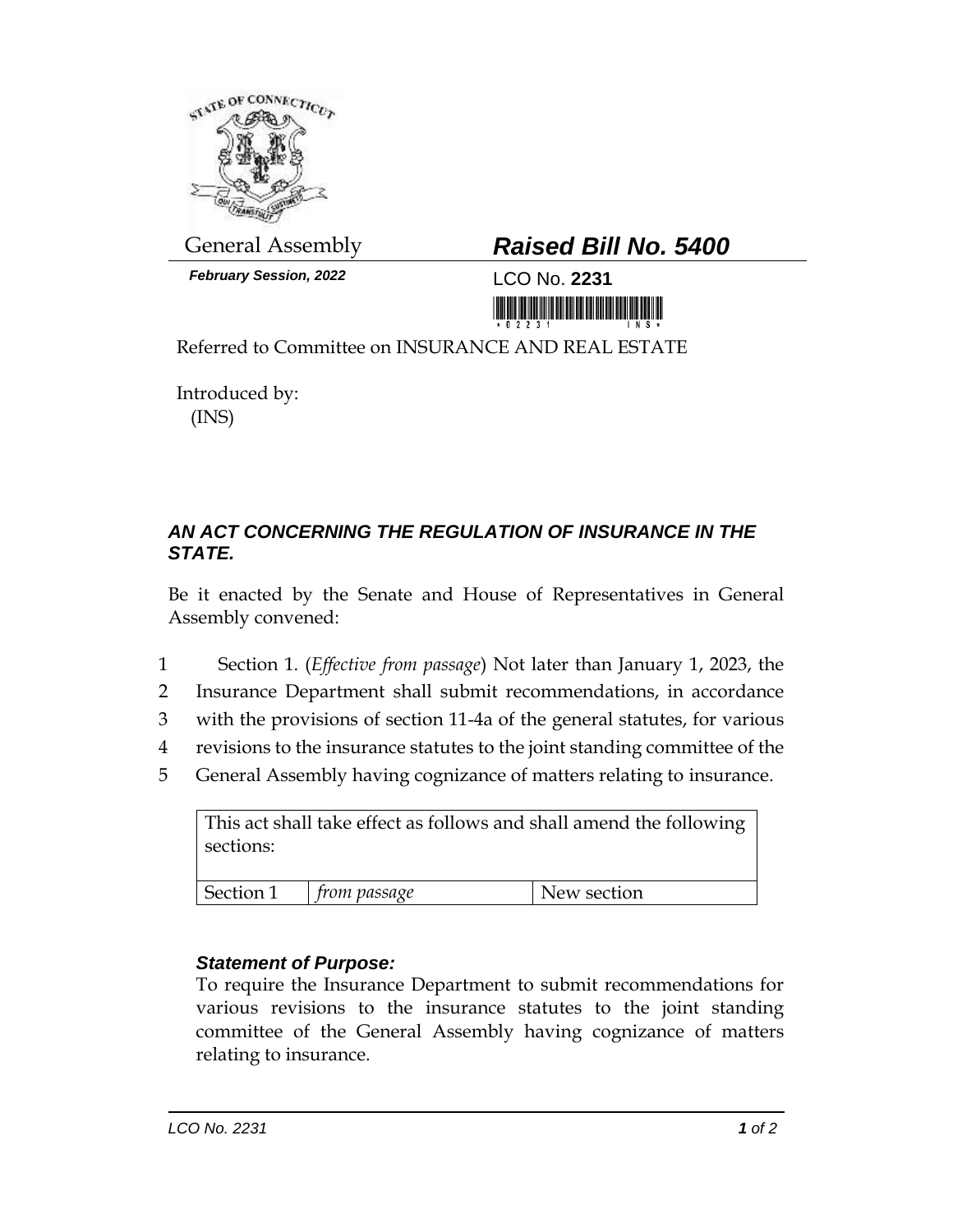

*February Session, 2022* LCO No. **2231**

## General Assembly *Raised Bill No. 5400*

<u> 1999 - Andrew Maria Maria Maria Maria Maria Maria Maria Maria Maria Maria Maria Maria Maria Maria Maria Mari</u>

Referred to Committee on INSURANCE AND REAL ESTATE

Introduced by: (INS)

## *AN ACT CONCERNING THE REGULATION OF INSURANCE IN THE STATE.*

Be it enacted by the Senate and House of Representatives in General Assembly convened:

- 1 Section 1. (*Effective from passage*) Not later than January 1, 2023, the
- 2 Insurance Department shall submit recommendations, in accordance
- 3 with the provisions of section 11-4a of the general statutes, for various
- 4 revisions to the insurance statutes to the joint standing committee of the
- 5 General Assembly having cognizance of matters relating to insurance.

This act shall take effect as follows and shall amend the following sections:

| Section<br>passage<br>section<br>ാല്<br>W. |
|--------------------------------------------|
|--------------------------------------------|

## *Statement of Purpose:*

To require the Insurance Department to submit recommendations for various revisions to the insurance statutes to the joint standing committee of the General Assembly having cognizance of matters relating to insurance.